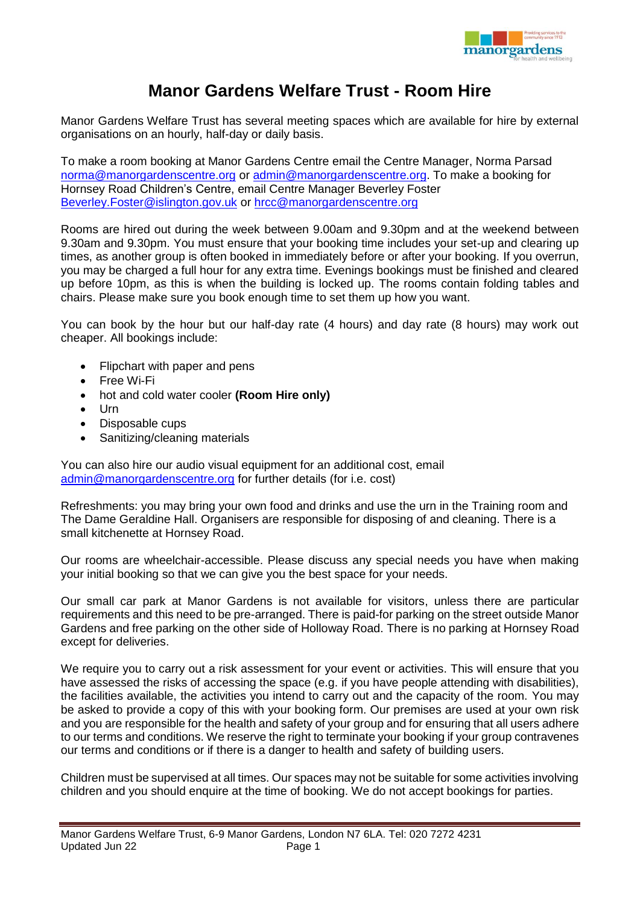

## **Manor Gardens Welfare Trust - Room Hire**

Manor Gardens Welfare Trust has several meeting spaces which are available for hire by external organisations on an hourly, half-day or daily basis.

To make a room booking at Manor Gardens Centre email the Centre Manager, Norma Parsad [norma@manorgardenscentre.org](mailto:norma@manorgardenscentre.org) or [admin@manorgardenscentre.org.](mailto:admin@manorgardenscentre.org) To make a booking for Hornsey Road Children's Centre, email Centre Manager Beverley Foster [Beverley.Foster@islington.gov.uk](mailto:Beverley.Foster@islington.gov.uk) or [hrcc@manorgardenscentre.org](mailto:hrcc@manorgardenscentre.org)

Rooms are hired out during the week between 9.00am and 9.30pm and at the weekend between 9.30am and 9.30pm. You must ensure that your booking time includes your set-up and clearing up times, as another group is often booked in immediately before or after your booking. If you overrun, you may be charged a full hour for any extra time. Evenings bookings must be finished and cleared up before 10pm, as this is when the building is locked up. The rooms contain folding tables and chairs. Please make sure you book enough time to set them up how you want.

You can book by the hour but our half-day rate (4 hours) and day rate (8 hours) may work out cheaper. All bookings include:

- Flipchart with paper and pens
- Free Wi-Fi
- hot and cold water cooler **(Room Hire only)**
- $\bullet$  Urn
- Disposable cups
- Sanitizing/cleaning materials

You can also hire our audio visual equipment for an additional cost, email [admin@manorgardenscentre.org](mailto:admin@manorgardenscentre.org) for further details (for i.e. cost)

Refreshments: you may bring your own food and drinks and use the urn in the Training room and The Dame Geraldine Hall. Organisers are responsible for disposing of and cleaning. There is a small kitchenette at Hornsey Road.

Our rooms are wheelchair-accessible. Please discuss any special needs you have when making your initial booking so that we can give you the best space for your needs.

Our small car park at Manor Gardens is not available for visitors, unless there are particular requirements and this need to be pre-arranged. There is paid-for parking on the street outside Manor Gardens and free parking on the other side of Holloway Road. There is no parking at Hornsey Road except for deliveries.

We require you to carry out a risk assessment for your event or activities. This will ensure that you have assessed the risks of accessing the space (e.g. if you have people attending with disabilities), the facilities available, the activities you intend to carry out and the capacity of the room. You may be asked to provide a copy of this with your booking form. Our premises are used at your own risk and you are responsible for the health and safety of your group and for ensuring that all users adhere to our terms and conditions. We reserve the right to terminate your booking if your group contravenes our terms and conditions or if there is a danger to health and safety of building users.

Children must be supervised at all times. Our spaces may not be suitable for some activities involving children and you should enquire at the time of booking. We do not accept bookings for parties.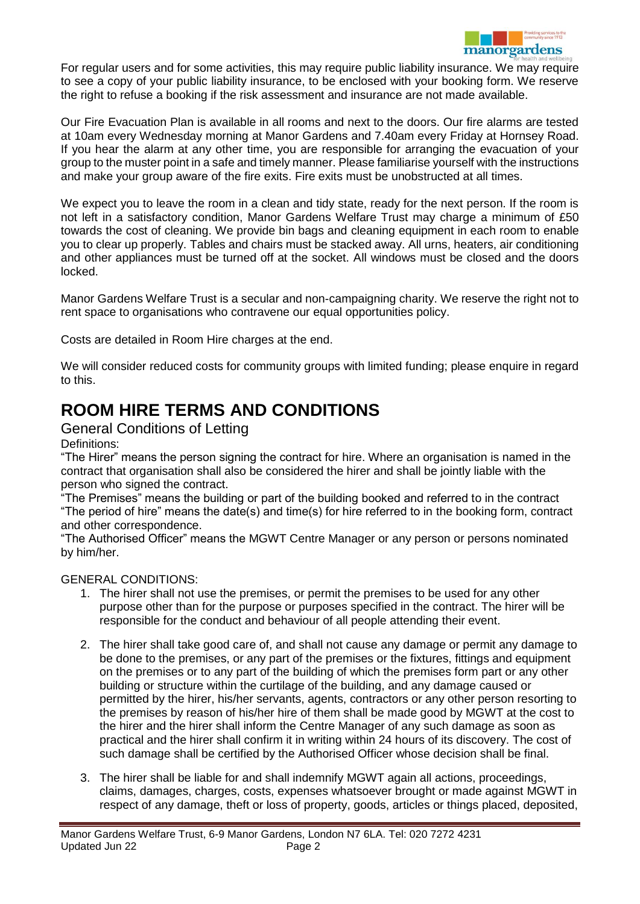

For regular users and for some activities, this may require public liability insurance. We may require to see a copy of your public liability insurance, to be enclosed with your booking form. We reserve the right to refuse a booking if the risk assessment and insurance are not made available.

Our Fire Evacuation Plan is available in all rooms and next to the doors. Our fire alarms are tested at 10am every Wednesday morning at Manor Gardens and 7.40am every Friday at Hornsey Road. If you hear the alarm at any other time, you are responsible for arranging the evacuation of your group to the muster point in a safe and timely manner. Please familiarise yourself with the instructions and make your group aware of the fire exits. Fire exits must be unobstructed at all times.

We expect you to leave the room in a clean and tidy state, ready for the next person. If the room is not left in a satisfactory condition, Manor Gardens Welfare Trust may charge a minimum of £50 towards the cost of cleaning. We provide bin bags and cleaning equipment in each room to enable you to clear up properly. Tables and chairs must be stacked away. All urns, heaters, air conditioning and other appliances must be turned off at the socket. All windows must be closed and the doors locked.

Manor Gardens Welfare Trust is a secular and non-campaigning charity. We reserve the right not to rent space to organisations who contravene our equal opportunities policy.

Costs are detailed in Room Hire charges at the end.

We will consider reduced costs for community groups with limited funding; please enquire in regard to this.

# **ROOM HIRE TERMS AND CONDITIONS**

### General Conditions of Letting

Definitions:

"The Hirer" means the person signing the contract for hire. Where an organisation is named in the contract that organisation shall also be considered the hirer and shall be jointly liable with the person who signed the contract.

"The Premises" means the building or part of the building booked and referred to in the contract "The period of hire" means the date(s) and time(s) for hire referred to in the booking form, contract and other correspondence.

"The Authorised Officer" means the MGWT Centre Manager or any person or persons nominated by him/her.

#### GENERAL CONDITIONS:

- 1. The hirer shall not use the premises, or permit the premises to be used for any other purpose other than for the purpose or purposes specified in the contract. The hirer will be responsible for the conduct and behaviour of all people attending their event.
- 2. The hirer shall take good care of, and shall not cause any damage or permit any damage to be done to the premises, or any part of the premises or the fixtures, fittings and equipment on the premises or to any part of the building of which the premises form part or any other building or structure within the curtilage of the building, and any damage caused or permitted by the hirer, his/her servants, agents, contractors or any other person resorting to the premises by reason of his/her hire of them shall be made good by MGWT at the cost to the hirer and the hirer shall inform the Centre Manager of any such damage as soon as practical and the hirer shall confirm it in writing within 24 hours of its discovery. The cost of such damage shall be certified by the Authorised Officer whose decision shall be final.
- 3. The hirer shall be liable for and shall indemnify MGWT again all actions, proceedings, claims, damages, charges, costs, expenses whatsoever brought or made against MGWT in respect of any damage, theft or loss of property, goods, articles or things placed, deposited,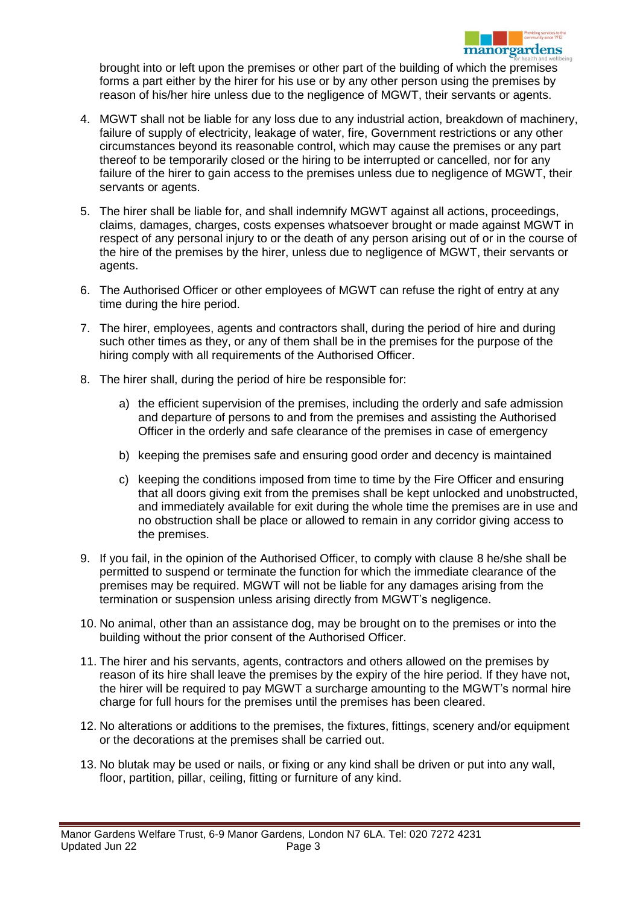

brought into or left upon the premises or other part of the building of which the premises forms a part either by the hirer for his use or by any other person using the premises by reason of his/her hire unless due to the negligence of MGWT, their servants or agents.

- 4. MGWT shall not be liable for any loss due to any industrial action, breakdown of machinery, failure of supply of electricity, leakage of water, fire, Government restrictions or any other circumstances beyond its reasonable control, which may cause the premises or any part thereof to be temporarily closed or the hiring to be interrupted or cancelled, nor for any failure of the hirer to gain access to the premises unless due to negligence of MGWT, their servants or agents.
- 5. The hirer shall be liable for, and shall indemnify MGWT against all actions, proceedings, claims, damages, charges, costs expenses whatsoever brought or made against MGWT in respect of any personal injury to or the death of any person arising out of or in the course of the hire of the premises by the hirer, unless due to negligence of MGWT, their servants or agents.
- 6. The Authorised Officer or other employees of MGWT can refuse the right of entry at any time during the hire period.
- 7. The hirer, employees, agents and contractors shall, during the period of hire and during such other times as they, or any of them shall be in the premises for the purpose of the hiring comply with all requirements of the Authorised Officer.
- 8. The hirer shall, during the period of hire be responsible for:
	- a) the efficient supervision of the premises, including the orderly and safe admission and departure of persons to and from the premises and assisting the Authorised Officer in the orderly and safe clearance of the premises in case of emergency
	- b) keeping the premises safe and ensuring good order and decency is maintained
	- c) keeping the conditions imposed from time to time by the Fire Officer and ensuring that all doors giving exit from the premises shall be kept unlocked and unobstructed, and immediately available for exit during the whole time the premises are in use and no obstruction shall be place or allowed to remain in any corridor giving access to the premises.
- 9. If you fail, in the opinion of the Authorised Officer, to comply with clause 8 he/she shall be permitted to suspend or terminate the function for which the immediate clearance of the premises may be required. MGWT will not be liable for any damages arising from the termination or suspension unless arising directly from MGWT's negligence.
- 10. No animal, other than an assistance dog, may be brought on to the premises or into the building without the prior consent of the Authorised Officer.
- 11. The hirer and his servants, agents, contractors and others allowed on the premises by reason of its hire shall leave the premises by the expiry of the hire period. If they have not, the hirer will be required to pay MGWT a surcharge amounting to the MGWT's normal hire charge for full hours for the premises until the premises has been cleared.
- 12. No alterations or additions to the premises, the fixtures, fittings, scenery and/or equipment or the decorations at the premises shall be carried out.
- 13. No blutak may be used or nails, or fixing or any kind shall be driven or put into any wall, floor, partition, pillar, ceiling, fitting or furniture of any kind.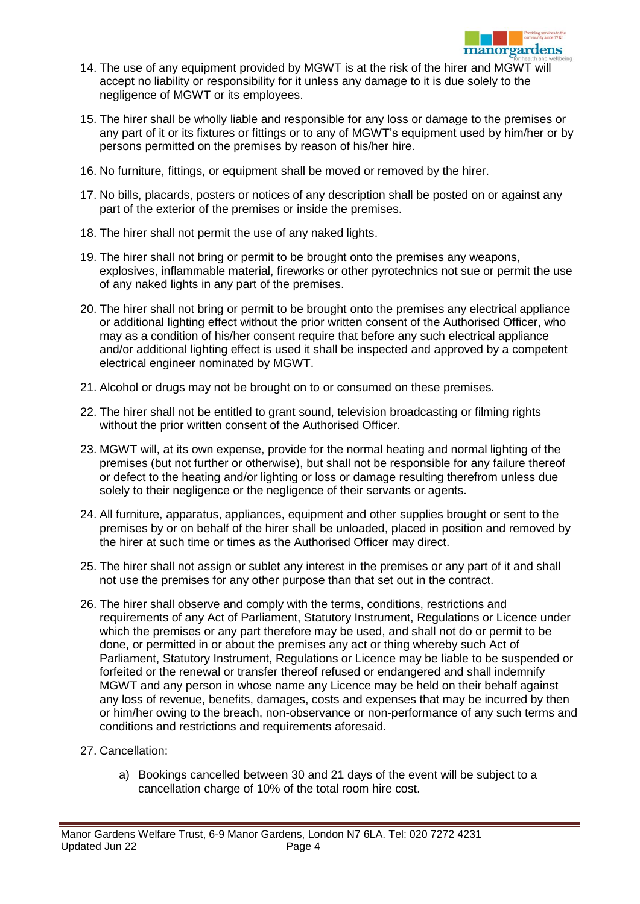- 14. The use of any equipment provided by MGWT is at the risk of the hirer and MGWT will accept no liability or responsibility for it unless any damage to it is due solely to the negligence of MGWT or its employees.
- 15. The hirer shall be wholly liable and responsible for any loss or damage to the premises or any part of it or its fixtures or fittings or to any of MGWT's equipment used by him/her or by persons permitted on the premises by reason of his/her hire.
- 16. No furniture, fittings, or equipment shall be moved or removed by the hirer.
- 17. No bills, placards, posters or notices of any description shall be posted on or against any part of the exterior of the premises or inside the premises.
- 18. The hirer shall not permit the use of any naked lights.
- 19. The hirer shall not bring or permit to be brought onto the premises any weapons, explosives, inflammable material, fireworks or other pyrotechnics not sue or permit the use of any naked lights in any part of the premises.
- 20. The hirer shall not bring or permit to be brought onto the premises any electrical appliance or additional lighting effect without the prior written consent of the Authorised Officer, who may as a condition of his/her consent require that before any such electrical appliance and/or additional lighting effect is used it shall be inspected and approved by a competent electrical engineer nominated by MGWT.
- 21. Alcohol or drugs may not be brought on to or consumed on these premises.
- 22. The hirer shall not be entitled to grant sound, television broadcasting or filming rights without the prior written consent of the Authorised Officer.
- 23. MGWT will, at its own expense, provide for the normal heating and normal lighting of the premises (but not further or otherwise), but shall not be responsible for any failure thereof or defect to the heating and/or lighting or loss or damage resulting therefrom unless due solely to their negligence or the negligence of their servants or agents.
- 24. All furniture, apparatus, appliances, equipment and other supplies brought or sent to the premises by or on behalf of the hirer shall be unloaded, placed in position and removed by the hirer at such time or times as the Authorised Officer may direct.
- 25. The hirer shall not assign or sublet any interest in the premises or any part of it and shall not use the premises for any other purpose than that set out in the contract.
- 26. The hirer shall observe and comply with the terms, conditions, restrictions and requirements of any Act of Parliament, Statutory Instrument, Regulations or Licence under which the premises or any part therefore may be used, and shall not do or permit to be done, or permitted in or about the premises any act or thing whereby such Act of Parliament, Statutory Instrument, Regulations or Licence may be liable to be suspended or forfeited or the renewal or transfer thereof refused or endangered and shall indemnify MGWT and any person in whose name any Licence may be held on their behalf against any loss of revenue, benefits, damages, costs and expenses that may be incurred by then or him/her owing to the breach, non-observance or non-performance of any such terms and conditions and restrictions and requirements aforesaid.
- 27. Cancellation:
	- a) Bookings cancelled between 30 and 21 days of the event will be subject to a cancellation charge of 10% of the total room hire cost.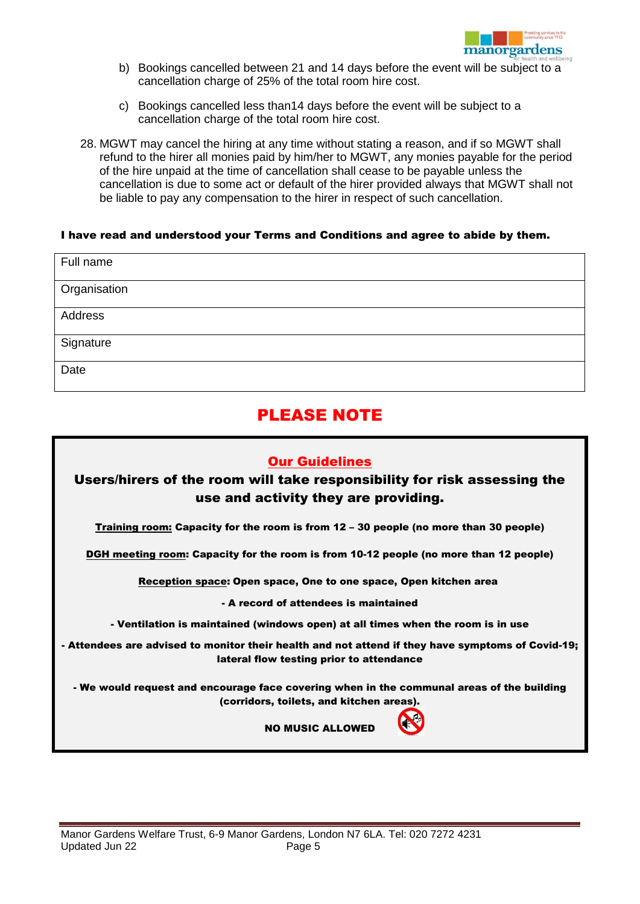

- b) Bookings cancelled between 21 and 14 days before the event will be subject to a cancellation charge of 25% of the total room hire cost.
- c) Bookings cancelled less than14 days before the event will be subject to a cancellation charge of the total room hire cost.
- 28. MGWT may cancel the hiring at any time without stating a reason, and if so MGWT shall refund to the hirer all monies paid by him/her to MGWT, any monies payable for the period of the hire unpaid at the time of cancellation shall cease to be payable unless the cancellation is due to some act or default of the hirer provided always that MGWT shall not be liable to pay any compensation to the hirer in respect of such cancellation.

#### I have read and understood your Terms and Conditions and agree to abide by them.

| Full name    |  |
|--------------|--|
| Organisation |  |
| Address      |  |
| Signature    |  |
| Date         |  |

## PLEASE NOTE

#### Our Guidelines

## Users/hirers of the room will take responsibility for risk assessing the use and activity they are providing.

Training room: Capacity for the room is from 12 – 30 people (no more than 30 people)

DGH meeting room: Capacity for the room is from 10-12 people (no more than 12 people)

Reception space: Open space, One to one space, Open kitchen area

- A record of attendees is maintained

- Ventilation is maintained (windows open) at all times when the room is in use

- Attendees are advised to monitor their health and not attend if they have symptoms of Covid-19; lateral flow testing prior to attendance

- We would request and encourage face covering when in the communal areas of the building (corridors, toilets, and kitchen areas).



NO MUSIC ALLOWED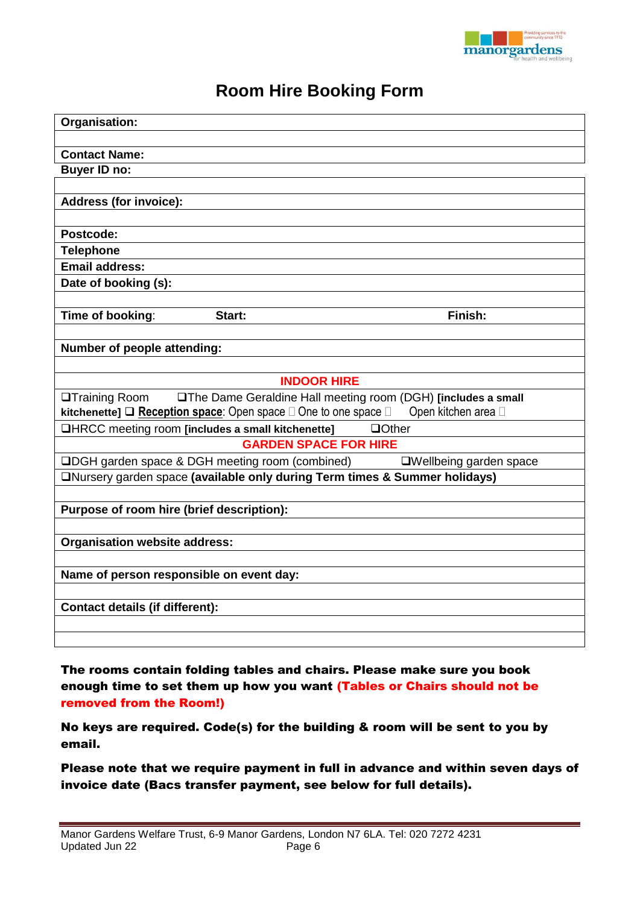

# **Room Hire Booking Form**

| Organisation:                                                                         |                                                               |
|---------------------------------------------------------------------------------------|---------------------------------------------------------------|
|                                                                                       |                                                               |
| <b>Contact Name:</b>                                                                  |                                                               |
| <b>Buyer ID no:</b>                                                                   |                                                               |
|                                                                                       |                                                               |
| <b>Address (for invoice):</b>                                                         |                                                               |
|                                                                                       |                                                               |
| Postcode:                                                                             |                                                               |
| <b>Telephone</b>                                                                      |                                                               |
| <b>Email address:</b>                                                                 |                                                               |
| Date of booking (s):                                                                  |                                                               |
|                                                                                       |                                                               |
| Time of booking:<br>Start:                                                            | Finish:                                                       |
|                                                                                       |                                                               |
| Number of people attending:                                                           |                                                               |
|                                                                                       |                                                               |
| <b>INDOOR HIRE</b>                                                                    |                                                               |
| <b>OTraining Room</b>                                                                 | □The Dame Geraldine Hall meeting room (DGH) [includes a small |
| <b>kitchenette]</b> $\Box$ Reception space: Open space $\Box$ One to one space $\Box$ | Open kitchen area D                                           |
| □HRCC meeting room [includes a small kitchenette]                                     | $\Box$ Other                                                  |
| <b>GARDEN SPACE FOR HIRE</b>                                                          |                                                               |
| □DGH garden space & DGH meeting room (combined)                                       | □Wellbeing garden space                                       |
| ONursery garden space (available only during Term times & Summer holidays)            |                                                               |
|                                                                                       |                                                               |
| Purpose of room hire (brief description):                                             |                                                               |
|                                                                                       |                                                               |
| <b>Organisation website address:</b>                                                  |                                                               |
|                                                                                       |                                                               |
| Name of person responsible on event day:                                              |                                                               |
|                                                                                       |                                                               |
| <b>Contact details (if different):</b>                                                |                                                               |
|                                                                                       |                                                               |
|                                                                                       |                                                               |

The rooms contain folding tables and chairs. Please make sure you book enough time to set them up how you want (Tables or Chairs should not be removed from the Room!)

No keys are required. Code(s) for the building & room will be sent to you by email.

Please note that we require payment in full in advance and within seven days of invoice date (Bacs transfer payment, see below for full details).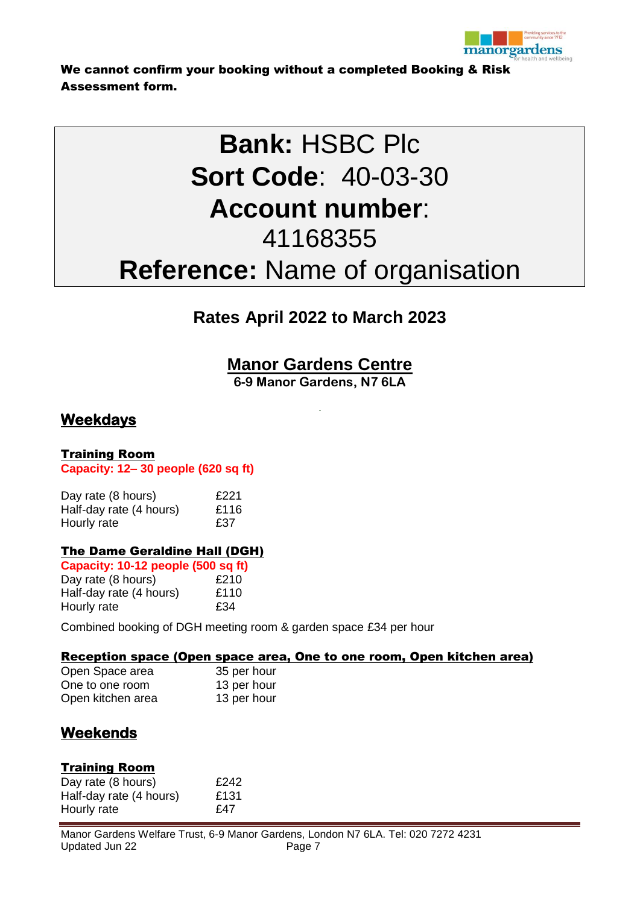

We cannot confirm your booking without a completed Booking & Risk Assessment form.

# **Bank:** HSBC Plc **Sort Code**: 40-03-30 **Account number**: 41168355 **Reference:** Name of organisation

# **Rates April 2022 to March 2023**

**Manor Gardens Centre**

**6-9 Manor Gardens, N7 6LA**

## **Weekdays**

### Training Room

**Capacity: 12– 30 people (620 sq ft)**

| Day rate (8 hours)      | £221 |
|-------------------------|------|
| Half-day rate (4 hours) | £116 |
| Hourly rate             | £37  |

## The Dame Geraldine Hall (DGH)

| Capacity: 10-12 people (500 sq ft) |      |
|------------------------------------|------|
| Day rate (8 hours)                 | £210 |
| Half-day rate (4 hours)            | £110 |
| Hourly rate                        | £34  |

Combined booking of DGH meeting room & garden space £34 per hour

#### Reception space (Open space area, One to one room, Open kitchen area)

| Open Space area   | 35 per hour |
|-------------------|-------------|
| One to one room   | 13 per hour |
| Open kitchen area | 13 per hour |

## **Weekends**

#### Training Room

Day rate (8 hours) E242 Half-day rate (4 hours) E131 Hourly rate £47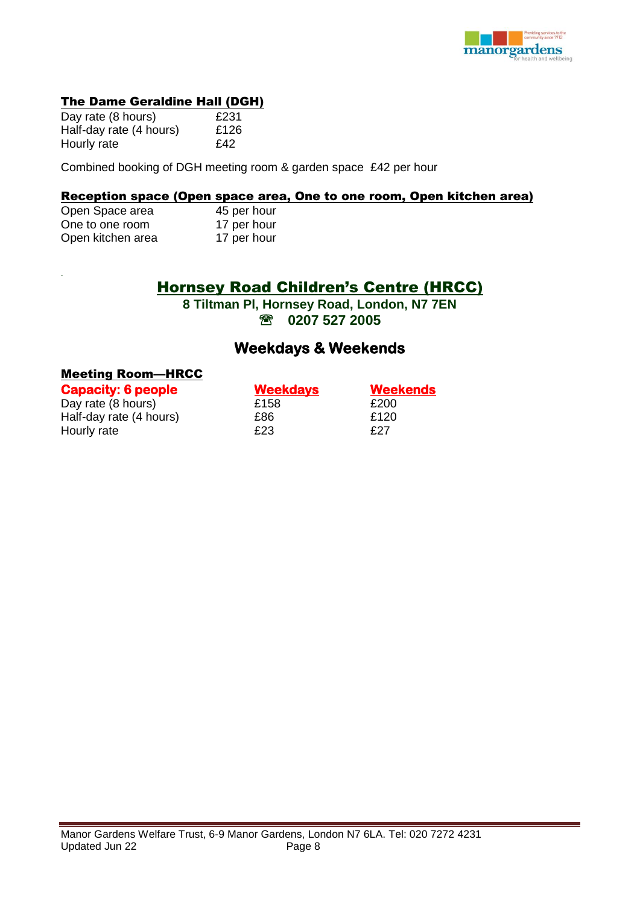

#### The Dame Geraldine Hall (DGH)

| Day rate (8 hours)      | £231 |
|-------------------------|------|
| Half-day rate (4 hours) | £126 |
| Hourly rate             | £42  |

Combined booking of DGH meeting room & garden space £42 per hour

#### Reception space (Open space area, One to one room, Open kitchen area)

| Open Space area   | 45 per hour |
|-------------------|-------------|
| One to one room   | 17 per hour |
| Open kitchen area | 17 per hour |

## Hornsey Road Children's Centre (HRCC)

**8 Tiltman Pl, Hornsey Road, London, N7 7EN 0207 527 2005**

## **Weekdays & Weekends**

#### Meeting Room—HRCC

| <b>Capacity: 6 people</b> | <b>Weekdays</b> | <b>Weekends</b> |
|---------------------------|-----------------|-----------------|
| Day rate (8 hours)        | £158            | £200            |
| Half-day rate (4 hours)   | £86             | £120            |
| Hourly rate               | £23             | £27             |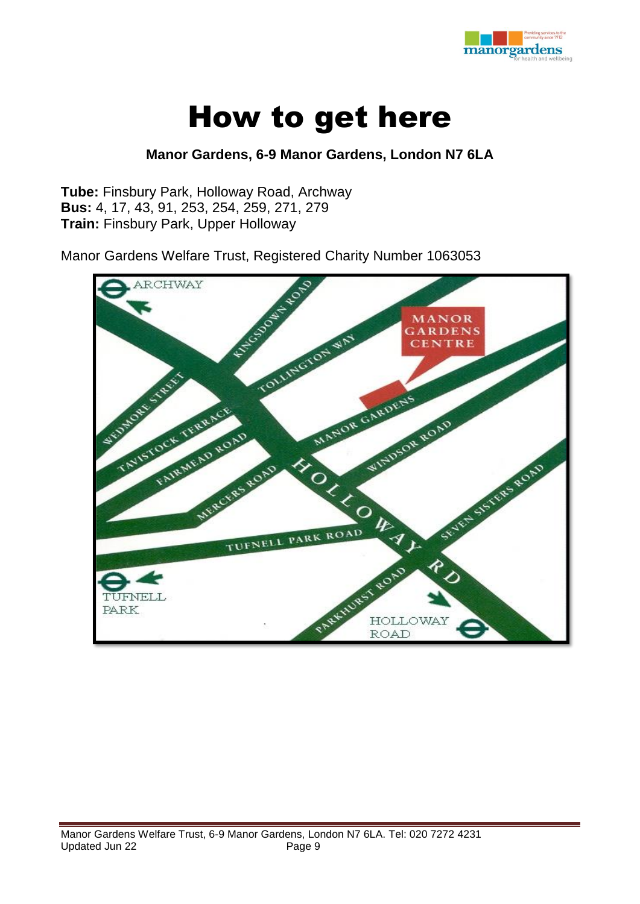

# How to get here

## **Manor Gardens, 6-9 Manor Gardens, London N7 6LA**

**Tube:** Finsbury Park, Holloway Road, Archway **Bus:** 4, 17, 43, 91, 253, 254, 259, 271, 279 **Train:** Finsbury Park, Upper Holloway

Manor Gardens Welfare Trust, Registered Charity Number 1063053

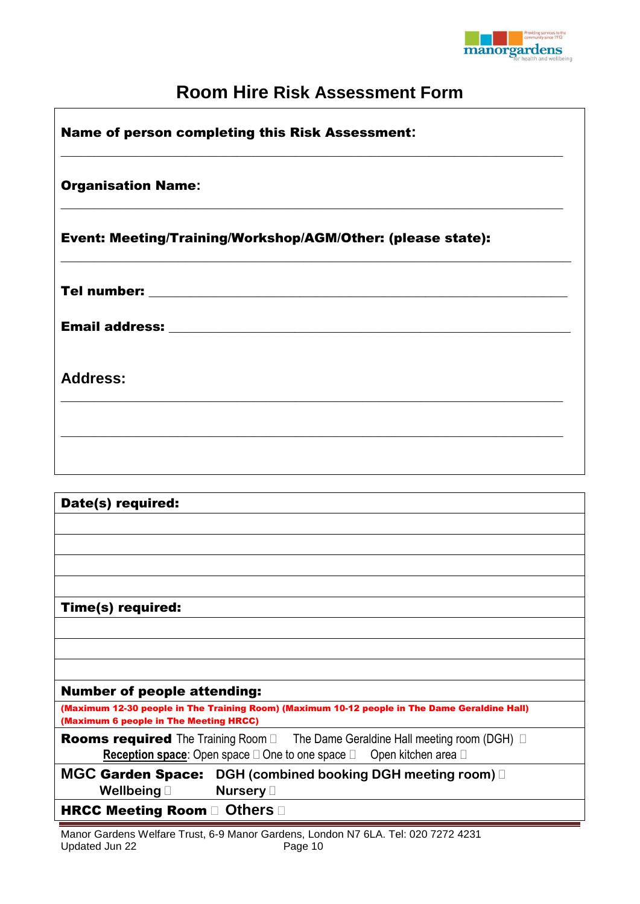

# **Room Hire Risk Assessment Form**

| <b>Name of person completing this Risk Assessment:</b>      |  |
|-------------------------------------------------------------|--|
| <b>Organisation Name:</b>                                   |  |
| Event: Meeting/Training/Workshop/AGM/Other: (please state): |  |
|                                                             |  |
|                                                             |  |
| <b>Address:</b>                                             |  |
|                                                             |  |
|                                                             |  |

| Date(s) required:                                                                                                                                                                            |
|----------------------------------------------------------------------------------------------------------------------------------------------------------------------------------------------|
|                                                                                                                                                                                              |
|                                                                                                                                                                                              |
|                                                                                                                                                                                              |
|                                                                                                                                                                                              |
| Time(s) required:                                                                                                                                                                            |
|                                                                                                                                                                                              |
|                                                                                                                                                                                              |
|                                                                                                                                                                                              |
| <b>Number of people attending:</b>                                                                                                                                                           |
| (Maximum 12-30 people in The Training Room) (Maximum 10-12 people in The Dame Geraldine Hall)<br>(Maximum 6 people in The Meeting HRCC)                                                      |
| <b>Rooms required</b> The Training Room $\Box$ The Dame Geraldine Hall meeting room (DGH) $\Box$<br>Open kitchen area □<br><b>Reception space:</b> Open space $\Box$ One to one space $\Box$ |
| <b>MGC Garden Space:</b> DGH (combined booking DGH meeting room) D<br>Nursery D<br>Wellbeing $\square$                                                                                       |
| HRCC Meeting Room and Others and                                                                                                                                                             |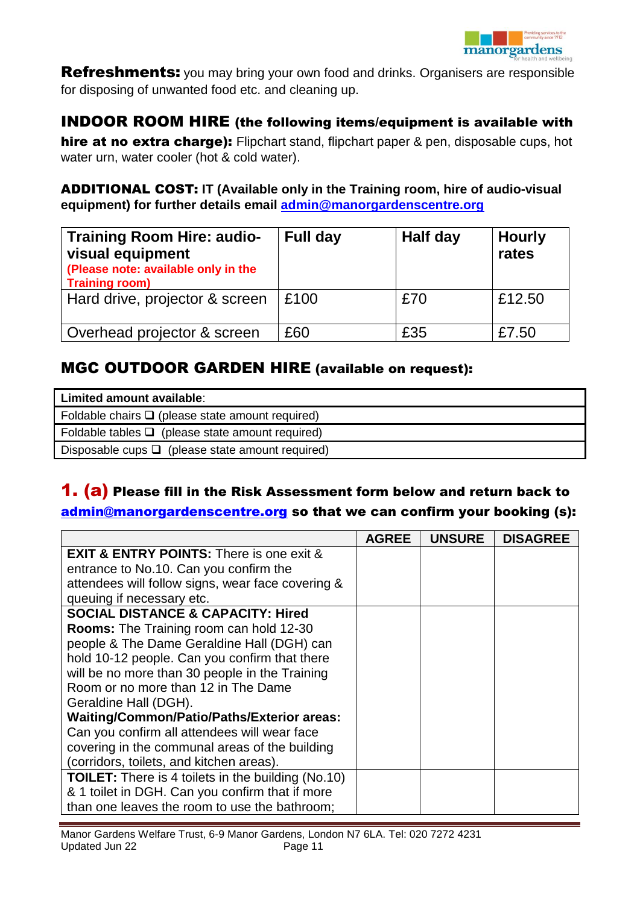

**Refreshments:** you may bring your own food and drinks. Organisers are responsible for disposing of unwanted food etc. and cleaning up.

## INDOOR ROOM HIRE (the following items/equipment is available with

hire at no extra charge): Flipchart stand, flipchart paper & pen, disposable cups, hot water urn, water cooler (hot & cold water).

## ADDITIONAL COST: **IT (Available only in the Training room, hire of audio-visual equipment) for further details email [admin@manorgardenscentre.org](mailto:admin@manorgardenscentre.org)**

| <b>Training Room Hire: audio-</b><br>visual equipment<br>(Please note: available only in the<br><b>Training room)</b> | Full day | Half day | <b>Hourly</b><br>rates |
|-----------------------------------------------------------------------------------------------------------------------|----------|----------|------------------------|
| Hard drive, projector & screen                                                                                        | £100     | £70      | £12.50                 |
| Overhead projector & screen                                                                                           | £60      | £35      | £7.50                  |

## MGC OUTDOOR GARDEN HIRE (available on request):

| Limited amount available:                             |
|-------------------------------------------------------|
| Foldable chairs $\Box$ (please state amount required) |
| Foldable tables $\Box$ (please state amount required) |
| Disposable cups $\Box$ (please state amount required) |

## **1. (a)** Please fill in the Risk Assessment form below and return back to [admin@manorgardenscentre.org](mailto:admin@manorgardenscentre.org) so that we can confirm your booking (s):

|                                                           | <b>AGREE</b> | <b>UNSURE</b> | <b>DISAGREE</b> |
|-----------------------------------------------------------|--------------|---------------|-----------------|
| <b>EXIT &amp; ENTRY POINTS:</b> There is one exit &       |              |               |                 |
| entrance to No.10. Can you confirm the                    |              |               |                 |
| attendees will follow signs, wear face covering &         |              |               |                 |
| queuing if necessary etc.                                 |              |               |                 |
| <b>SOCIAL DISTANCE &amp; CAPACITY: Hired</b>              |              |               |                 |
| <b>Rooms:</b> The Training room can hold 12-30            |              |               |                 |
| people & The Dame Geraldine Hall (DGH) can                |              |               |                 |
| hold 10-12 people. Can you confirm that there             |              |               |                 |
| will be no more than 30 people in the Training            |              |               |                 |
| Room or no more than 12 in The Dame                       |              |               |                 |
| Geraldine Hall (DGH).                                     |              |               |                 |
| Waiting/Common/Patio/Paths/Exterior areas:                |              |               |                 |
| Can you confirm all attendees will wear face              |              |               |                 |
| covering in the communal areas of the building            |              |               |                 |
| (corridors, toilets, and kitchen areas).                  |              |               |                 |
| <b>TOILET:</b> There is 4 toilets in the building (No.10) |              |               |                 |
| & 1 toilet in DGH. Can you confirm that if more           |              |               |                 |
| than one leaves the room to use the bathroom;             |              |               |                 |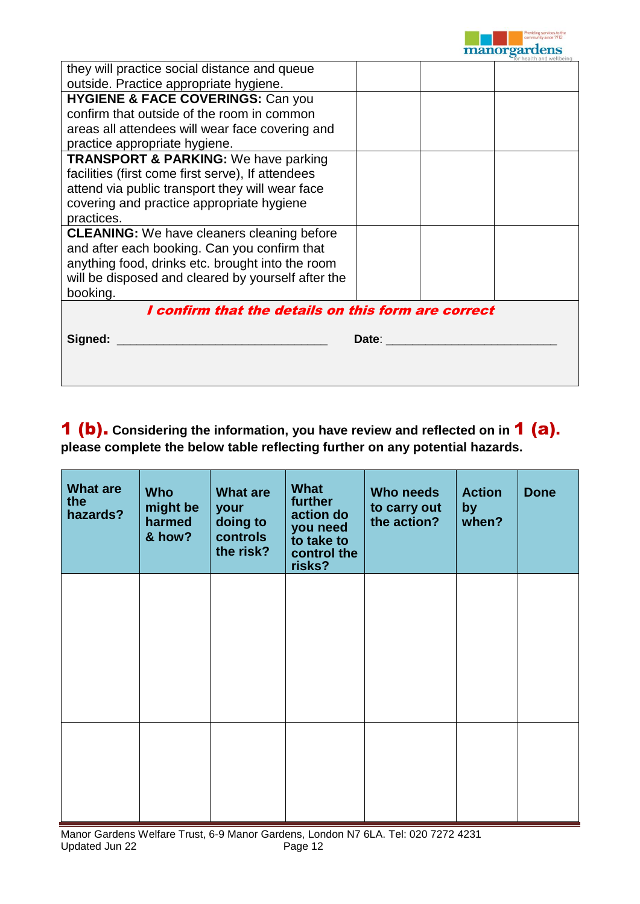

|                                                     | for health and wellbeing |  |  |  |  |
|-----------------------------------------------------|--------------------------|--|--|--|--|
| they will practice social distance and queue        |                          |  |  |  |  |
| outside. Practice appropriate hygiene.              |                          |  |  |  |  |
| <b>HYGIENE &amp; FACE COVERINGS: Can you</b>        |                          |  |  |  |  |
| confirm that outside of the room in common          |                          |  |  |  |  |
| areas all attendees will wear face covering and     |                          |  |  |  |  |
| practice appropriate hygiene.                       |                          |  |  |  |  |
| <b>TRANSPORT &amp; PARKING:</b> We have parking     |                          |  |  |  |  |
| facilities (first come first serve), If attendees   |                          |  |  |  |  |
| attend via public transport they will wear face     |                          |  |  |  |  |
| covering and practice appropriate hygiene           |                          |  |  |  |  |
| practices.                                          |                          |  |  |  |  |
| <b>CLEANING:</b> We have cleaners cleaning before   |                          |  |  |  |  |
| and after each booking. Can you confirm that        |                          |  |  |  |  |
| anything food, drinks etc. brought into the room    |                          |  |  |  |  |
| will be disposed and cleared by yourself after the  |                          |  |  |  |  |
| booking.                                            |                          |  |  |  |  |
| I confirm that the details on this form are correct |                          |  |  |  |  |
|                                                     |                          |  |  |  |  |
| Signed:                                             | Date:                    |  |  |  |  |
|                                                     |                          |  |  |  |  |
|                                                     |                          |  |  |  |  |

1 (b). **Considering the information, you have review and reflected on in** 1 (a). **please complete the below table reflecting further on any potential hazards.** 

| <b>What are</b><br>the<br>hazards? | <b>Who</b><br>might be<br>harmed<br>& how? | <b>What are</b><br>your<br>doing to<br>controls<br>the risk? | What<br>further<br>action do<br>you need<br>to take to<br>control the<br>risks? | Who needs<br>to carry out<br>the action? | <b>Action</b><br>by<br>when? | <b>Done</b> |
|------------------------------------|--------------------------------------------|--------------------------------------------------------------|---------------------------------------------------------------------------------|------------------------------------------|------------------------------|-------------|
|                                    |                                            |                                                              |                                                                                 |                                          |                              |             |
|                                    |                                            |                                                              |                                                                                 |                                          |                              |             |
|                                    |                                            |                                                              |                                                                                 |                                          |                              |             |